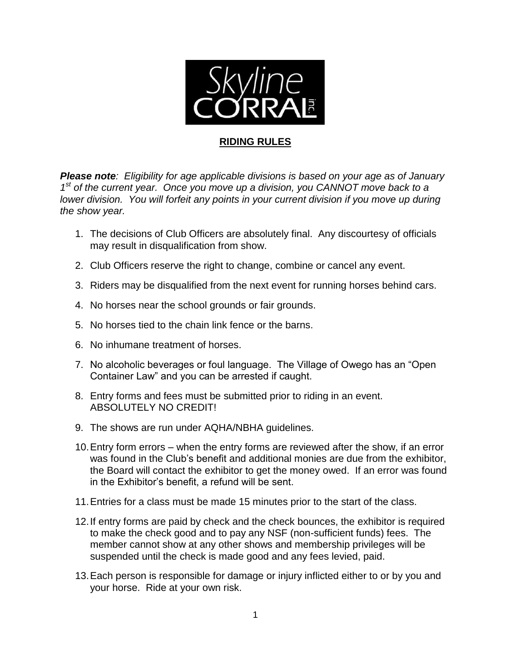

## **RIDING RULES**

*Please note: Eligibility for age applicable divisions is based on your age as of January*  1<sup>st</sup> of the current year. Once you move up a division, you CANNOT move back to a *lower division. You will forfeit any points in your current division if you move up during the show year.*

- 1. The decisions of Club Officers are absolutely final. Any discourtesy of officials may result in disqualification from show.
- 2. Club Officers reserve the right to change, combine or cancel any event.
- 3. Riders may be disqualified from the next event for running horses behind cars.
- 4. No horses near the school grounds or fair grounds.
- 5. No horses tied to the chain link fence or the barns.
- 6. No inhumane treatment of horses.
- 7. No alcoholic beverages or foul language. The Village of Owego has an "Open Container Law" and you can be arrested if caught.
- 8. Entry forms and fees must be submitted prior to riding in an event. ABSOLUTELY NO CREDIT!
- 9. The shows are run under AQHA/NBHA guidelines.
- 10.Entry form errors when the entry forms are reviewed after the show, if an error was found in the Club's benefit and additional monies are due from the exhibitor, the Board will contact the exhibitor to get the money owed. If an error was found in the Exhibitor's benefit, a refund will be sent.
- 11.Entries for a class must be made 15 minutes prior to the start of the class.
- 12.If entry forms are paid by check and the check bounces, the exhibitor is required to make the check good and to pay any NSF (non-sufficient funds) fees. The member cannot show at any other shows and membership privileges will be suspended until the check is made good and any fees levied, paid.
- 13.Each person is responsible for damage or injury inflicted either to or by you and your horse. Ride at your own risk.